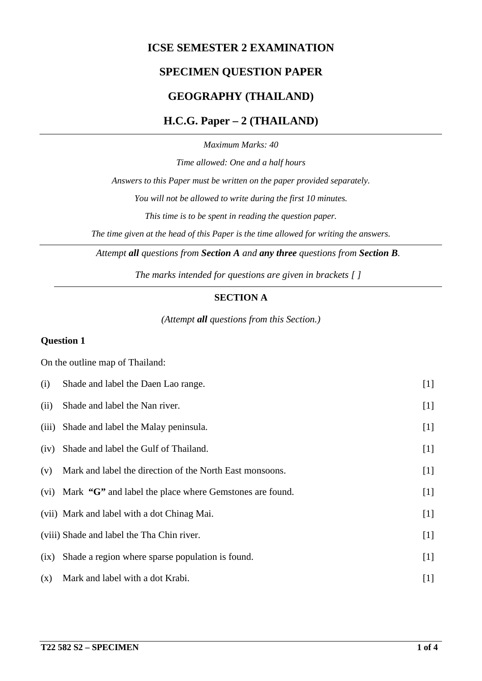## **ICSE SEMESTER 2 EXAMINATION**

# **SPECIMEN QUESTION PAPER**

## **GEOGRAPHY (THAILAND)**

### **H.C.G. Paper – 2 (THAILAND)**

*Maximum Marks: 40*

*Time allowed: One and a half hours*

*Answers to this Paper must be written on the paper provided separately.*

*You will not be allowed to write during the first 10 minutes.*

*This time is to be spent in reading the question paper.*

*The time given at the head of this Paper is the time allowed for writing the answers.*

*Attempt all questions from Section A and any three questions from Section B.*

*The marks intended for questions are given in brackets [ ]*

#### **SECTION A**

*(Attempt all questions from this Section.)*

#### **Question 1**

On the outline map of Thailand:

| (i)   | Shade and label the Daen Lao range.                          | $[1]$ |
|-------|--------------------------------------------------------------|-------|
| (ii)  | Shade and label the Nan river.                               | $[1]$ |
| (iii) | Shade and label the Malay peninsula.                         | $[1]$ |
| (iv)  | Shade and label the Gulf of Thailand.                        | $[1]$ |
| (v)   | Mark and label the direction of the North East monsoons.     | $[1]$ |
|       | (vi) Mark "G" and label the place where Gemstones are found. | $[1]$ |
|       | (vii) Mark and label with a dot Chinag Mai.                  | $[1]$ |
|       | (viii) Shade and label the Tha Chin river.                   | $[1]$ |
| (ix)  | Shade a region where sparse population is found.             | $[1]$ |
| (x)   | Mark and label with a dot Krabi.                             | $[1]$ |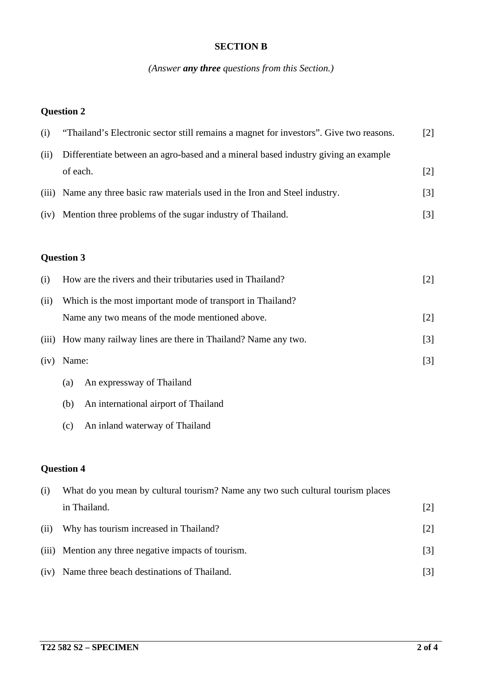#### **SECTION B**

# *(Answer any three questions from this Section.)*

### **Question 2**

| (i)  | "Thailand's Electronic sector still remains a magnet for investors". Give two reasons. |                   |  |  |
|------|----------------------------------------------------------------------------------------|-------------------|--|--|
| (ii) | Differentiate between an agro-based and a mineral based industry giving an example     |                   |  |  |
|      | of each.                                                                               | $\lceil 2 \rceil$ |  |  |
|      | (iii) Name any three basic raw materials used in the Iron and Steel industry.          | $\lceil 3 \rceil$ |  |  |
| (iv) | Mention three problems of the sugar industry of Thailand.                              | $\lceil 3 \rceil$ |  |  |

# **Question 3**

| (i)  | How are the rivers and their tributaries used in Thailand?        | [2]               |
|------|-------------------------------------------------------------------|-------------------|
| (ii) | Which is the most important mode of transport in Thailand?        |                   |
|      | Name any two means of the mode mentioned above.                   | [2]               |
|      | (iii) How many railway lines are there in Thailand? Name any two. | $\lceil 3 \rceil$ |
| (iv) | Name:                                                             | $\lceil 3 \rceil$ |
|      | An expressway of Thailand<br>(a)                                  |                   |

- (b) An international airport of Thailand
- (c) An inland waterway of Thailand

# **Question 4**

| (i)  | What do you mean by cultural tourism? Name any two such cultural tourism places |                   |  |  |  |  |
|------|---------------------------------------------------------------------------------|-------------------|--|--|--|--|
|      | in Thailand.                                                                    | $\lceil 2 \rceil$ |  |  |  |  |
| (i)  | Why has tourism increased in Thailand?                                          | $[2]$             |  |  |  |  |
|      | (iii) Mention any three negative impacts of tourism.                            | $[3]$             |  |  |  |  |
| (iv) | Name three beach destinations of Thailand.                                      | [3]               |  |  |  |  |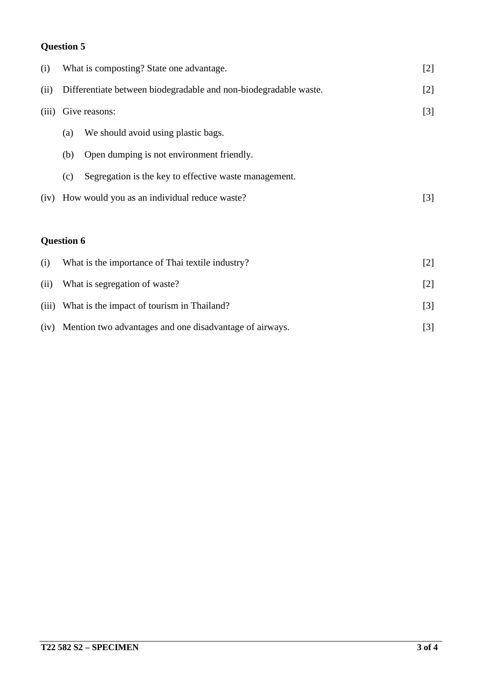# **Question 5**

| (i)   | What is composting? State one advantage.                         |                                                       |       |  |  |  |
|-------|------------------------------------------------------------------|-------------------------------------------------------|-------|--|--|--|
| (ii)  | Differentiate between biodegradable and non-biodegradable waste. |                                                       |       |  |  |  |
| (iii) |                                                                  | Give reasons:                                         | $[3]$ |  |  |  |
|       | We should avoid using plastic bags.<br>(a)                       |                                                       |       |  |  |  |
|       | (b)                                                              | Open dumping is not environment friendly.             |       |  |  |  |
|       | (c)                                                              | Segregation is the key to effective waste management. |       |  |  |  |
| (iv)  | How would you as an individual reduce waste?                     |                                                       |       |  |  |  |
|       |                                                                  |                                                       |       |  |  |  |
|       | <b>Question 6</b>                                                |                                                       |       |  |  |  |
| (i)   |                                                                  | What is the importance of Thai textile industry?      | $[2]$ |  |  |  |
| (ii)  | What is segregation of waste?                                    |                                                       |       |  |  |  |
| (iii) | What is the impact of tourism in Thailand?<br>$[3]$              |                                                       |       |  |  |  |

| (iv) Mention two advantages and one disadvantage of airways. |  |
|--------------------------------------------------------------|--|
|                                                              |  |